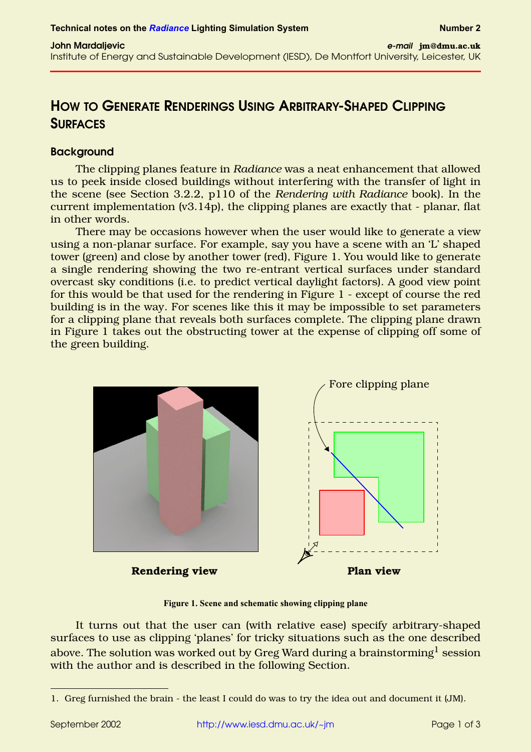# **HOW TO GENERATE RENDERINGS USING ARBITRARY-SHAPED CLIPPING SURFACES**

## **Background**

The clipping planes feature in *Radiance* was a neat enhancement that allowed us to peek inside closed buildings without interfering with the transfer of light in the scene (see Section 3.2.2, p110 of the *Rendering with Radiance* book). In the current implementation (v3.14p), the clipping planes are exactly that - planar, flat in other words.

There may be occasions however when the user would like to generate a view using a non-planar surface. For example, say you have a scene with an 'L' shaped tower (green) and close by another tower (red), [Figure 1](#page-0-0). You would like to generate a single rendering showing the two re-entrant vertical surfaces under standard overcast sky conditions (i.e. to predict vertical daylight factors). A good view point for this would be that used for the rendering in [Figure 1](#page-0-0) - except of course the red building is in the way. For scenes like this it may be impossible to set parameters for a clipping plane that reveals both surfaces complete. The clipping plane drawn in [Figure 1](#page-0-0) takes out the obstructing tower at the expense of clipping off some of the green building.



**Figure 1. Scene and schematic showing clipping plane**

<span id="page-0-0"></span>It turns out that the user can (with relative ease) specify arbitrary-shaped surfaces to use as clipping 'planes' for tricky situations such as the one described above. The solution was worked out by Greg Ward during a brainstorming<sup>1</sup> session with the author and is described in the following Section.

<sup>1.</sup> Greg furnished the brain - the least I could do was to try the idea out and document it (JM).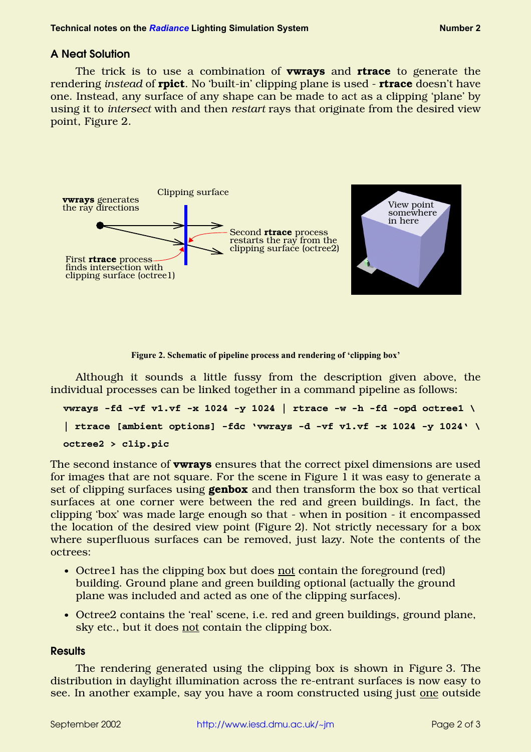# **A Neat Solution**

The trick is to use a combination of **vwrays** and **rtrace** to generate the rendering *instead* of **rpict**. No 'built-in' clipping plane is used - **rtrace** doesn't have one. Instead, any surface of any shape can be made to act as a clipping 'plane' by using it to *intersect* with and then *restart* rays that originate from the desired view point, [Figure 2](#page-1-0).



**Figure 2. Schematic of pipeline process and rendering of 'clipping box'**

<span id="page-1-0"></span>Although it sounds a little fussy from the description given above, the individual processes can be linked together in a command pipeline as follows:

```
vwrays -fd -vf v1.vf -x 1024 -y 1024 | rtrace -w -h -fd -opd octree1 \
| rtrace [ambient options] -fdc 'vwrays -d -vf v1.vf -x 1024 -y 1024' \
octree2 > clip.pic
```
The second instance of **vwrays** ensures that the correct pixel dimensions are used for images that are not square. For the scene in [Figure 1](#page-0-0) it was easy to generate a set of clipping surfaces using **genbox** and then transform the box so that vertical surfaces at one corner were between the red and green buildings. In fact, the clipping 'box' was made large enough so that - when in position - it encompassed the location of the desired view point [\(Figure 2\)](#page-1-0). Not strictly necessary for a box where superfluous surfaces can be removed, just lazy. Note the contents of the octrees:

- Octreel has the clipping box but does not contain the foreground (red) building. Ground plane and green building optional (actually the ground plane was included and acted as one of the clipping surfaces).
- **•** Octree2 contains the 'real' scene, i.e. red and green buildings, ground plane, sky etc., but it does not contain the clipping box.

#### **Results**

The rendering generated using the clipping box is shown in [Figure 3](#page-2-0). The distribution in daylight illumination across the re-entrant surfaces is now easy to see. In another example, say you have a room constructed using just one outside